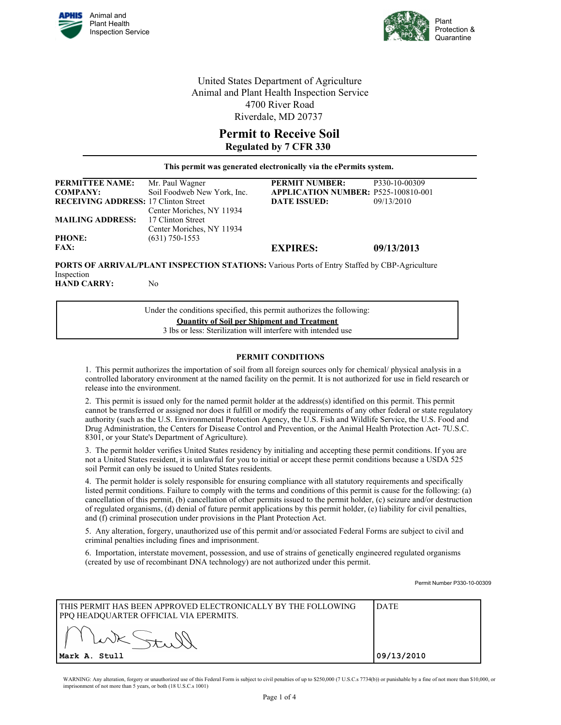



United States Department of Agriculture Animal and Plant Health Inspection Service 4700 River Road Riverdale, MD 20737

## **Permit to Receive Soil Regulated by 7 CFR 330**

**This permit was generated electronically via the ePermits system.** 

| <b>PERMITTEE NAME:</b>                      | Mr. Paul Wagner             | <b>PERMIT NUMBER:</b>                      | P330-10-00309 |
|---------------------------------------------|-----------------------------|--------------------------------------------|---------------|
| <b>COMPANY:</b>                             | Soil Foodweb New York, Inc. | <b>APPLICATION NUMBER: P525-100810-001</b> |               |
| <b>RECEIVING ADDRESS: 17 Clinton Street</b> |                             | <b>DATE ISSUED:</b>                        | 09/13/2010    |
|                                             | Center Moriches, NY 11934   |                                            |               |
| <b>MAILING ADDRESS:</b>                     | 17 Clinton Street           |                                            |               |
|                                             | Center Moriches, NY 11934   |                                            |               |
| <b>PHONE:</b>                               | $(631)$ 750-1553            |                                            |               |
| <b>FAX:</b>                                 |                             | <b>EXPIRES:</b>                            | 09/13/2013    |
|                                             |                             |                                            |               |

**PORTS OF ARRIVAL/PLANT INSPECTION STATIONS:** Various Ports of Entry Staffed by CBP-Agriculture Inspection **HAND CARRY:** No

> Under the conditions specified, this permit authorizes the following: **Quantity of Soil per Shipment and Treatment** 3 lbs or less: Sterilization will interfere with intended use

## **PERMIT CONDITIONS**

1. This permit authorizes the importation of soil from all foreign sources only for chemical/ physical analysis in a controlled laboratory environment at the named facility on the permit. It is not authorized for use in field research or release into the environment.

2. This permit is issued only for the named permit holder at the address(s) identified on this permit. This permit cannot be transferred or assigned nor does it fulfill or modify the requirements of any other federal or state regulatory authority (such as the U.S. Environmental Protection Agency, the U.S. Fish and Wildlife Service, the U.S. Food and Drug Administration, the Centers for Disease Control and Prevention, or the Animal Health Protection Act- 7U.S.C. 8301, or your State's Department of Agriculture).

3. The permit holder verifies United States residency by initialing and accepting these permit conditions. If you are not a United States resident, it is unlawful for you to initial or accept these permit conditions because a USDA 525 soil Permit can only be issued to United States residents.

4. The permit holder is solely responsible for ensuring compliance with all statutory requirements and specifically listed permit conditions. Failure to comply with the terms and conditions of this permit is cause for the following: (a) cancellation of this permit, (b) cancellation of other permits issued to the permit holder, (c) seizure and/or destruction of regulated organisms, (d) denial of future permit applications by this permit holder, (e) liability for civil penalties, and (f) criminal prosecution under provisions in the Plant Protection Act.

5. Any alteration, forgery, unauthorized use of this permit and/or associated Federal Forms are subject to civil and criminal penalties including fines and imprisonment.

6. Importation, interstate movement, possession, and use of strains of genetically engineered regulated organisms (created by use of recombinant DNA technology) are not authorized under this permit.

Permit Number P330-10-00309

| I THIS PERMIT HAS BEEN APPROVED ELECTRONICALLY BY THE FOLLOWING<br>PPQ HEADQUARTER OFFICIAL VIA EPERMITS. | ' DATE     |
|-----------------------------------------------------------------------------------------------------------|------------|
|                                                                                                           |            |
| Mark A. Stull                                                                                             | 09/13/2010 |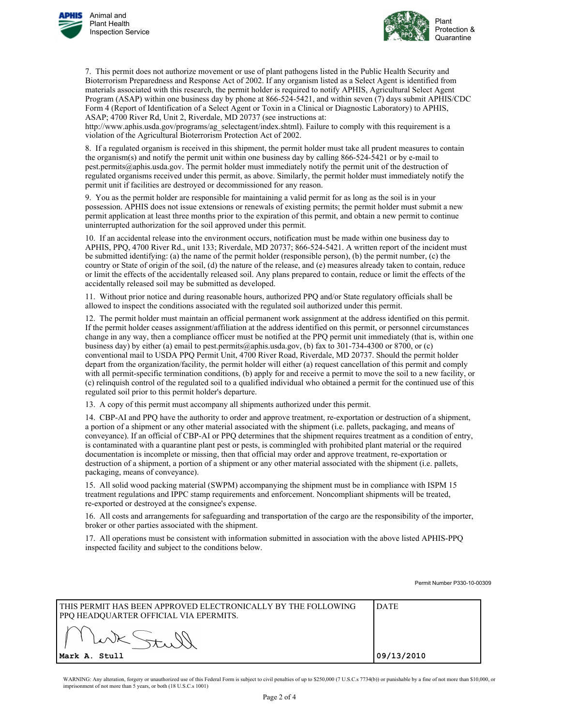



7. This permit does not authorize movement or use of plant pathogens listed in the Public Health Security and Bioterrorism Preparedness and Response Act of 2002. If any organism listed as a Select Agent is identified from materials associated with this research, the permit holder is required to notify APHIS, Agricultural Select Agent Program (ASAP) within one business day by phone at 866-524-5421, and within seven (7) days submit APHIS/CDC Form 4 (Report of Identification of a Select Agent or Toxin in a Clinical or Diagnostic Laboratory) to APHIS, ASAP; 4700 River Rd, Unit 2, Riverdale, MD 20737 (see instructions at:

http://www.aphis.usda.gov/programs/ag\_selectagent/index.shtml). Failure to comply with this requirement is a violation of the Agricultural Bioterrorism Protection Act of 2002.

8. If a regulated organism is received in this shipment, the permit holder must take all prudent measures to contain the organism(s) and notify the permit unit within one business day by calling 866-524-5421 or by e-mail to pest.permits@aphis.usda.gov. The permit holder must immediately notify the permit unit of the destruction of regulated organisms received under this permit, as above. Similarly, the permit holder must immediately notify the permit unit if facilities are destroyed or decommissioned for any reason.

9. You as the permit holder are responsible for maintaining a valid permit for as long as the soil is in your possession. APHIS does not issue extensions or renewals of existing permits; the permit holder must submit a new permit application at least three months prior to the expiration of this permit, and obtain a new permit to continue uninterrupted authorization for the soil approved under this permit.

10. If an accidental release into the environment occurs, notification must be made within one business day to APHIS, PPQ, 4700 River Rd., unit 133; Riverdale, MD 20737; 866-524-5421. A written report of the incident must be submitted identifying: (a) the name of the permit holder (responsible person), (b) the permit number, (c) the country or State of origin of the soil, (d) the nature of the release, and (e) measures already taken to contain, reduce or limit the effects of the accidentally released soil. Any plans prepared to contain, reduce or limit the effects of the accidentally released soil may be submitted as developed.

11. Without prior notice and during reasonable hours, authorized PPQ and/or State regulatory officials shall be allowed to inspect the conditions associated with the regulated soil authorized under this permit.

12. The permit holder must maintain an official permanent work assignment at the address identified on this permit. If the permit holder ceases assignment/affiliation at the address identified on this permit, or personnel circumstances change in any way, then a compliance officer must be notified at the PPQ permit unit immediately (that is, within one business day) by either (a) email to pest.permits@aphis.usda.gov, (b) fax to 301-734-4300 or 8700, or (c) conventional mail to USDA PPQ Permit Unit, 4700 River Road, Riverdale, MD 20737. Should the permit holder depart from the organization/facility, the permit holder will either (a) request cancellation of this permit and comply with all permit-specific termination conditions, (b) apply for and receive a permit to move the soil to a new facility, or (c) relinquish control of the regulated soil to a qualified individual who obtained a permit for the continued use of this regulated soil prior to this permit holder's departure.

13. A copy of this permit must accompany all shipments authorized under this permit.

14. CBP-AI and PPQ have the authority to order and approve treatment, re-exportation or destruction of a shipment, a portion of a shipment or any other material associated with the shipment (i.e. pallets, packaging, and means of conveyance). If an official of CBP-AI or PPQ determines that the shipment requires treatment as a condition of entry, is contaminated with a quarantine plant pest or pests, is commingled with prohibited plant material or the required documentation is incomplete or missing, then that official may order and approve treatment, re-exportation or destruction of a shipment, a portion of a shipment or any other material associated with the shipment (i.e. pallets, packaging, means of conveyance).

15. All solid wood packing material (SWPM) accompanying the shipment must be in compliance with ISPM 15 treatment regulations and IPPC stamp requirements and enforcement. Noncompliant shipments will be treated, re-exported or destroyed at the consignee's expense.

16. All costs and arrangements for safeguarding and transportation of the cargo are the responsibility of the importer, broker or other parties associated with the shipment.

17. All operations must be consistent with information submitted in association with the above listed APHIS-PPQ inspected facility and subject to the conditions below.

Permit Number P330-10-00309

| I THIS PERMIT HAS BEEN APPROVED ELECTRONICALLY BY THE FOLLOWING<br>PPQ HEADQUARTER OFFICIAL VIA EPERMITS. | <b>IDATE</b> |
|-----------------------------------------------------------------------------------------------------------|--------------|
|                                                                                                           |              |
| Mark A. Stull                                                                                             | 09/13/2010   |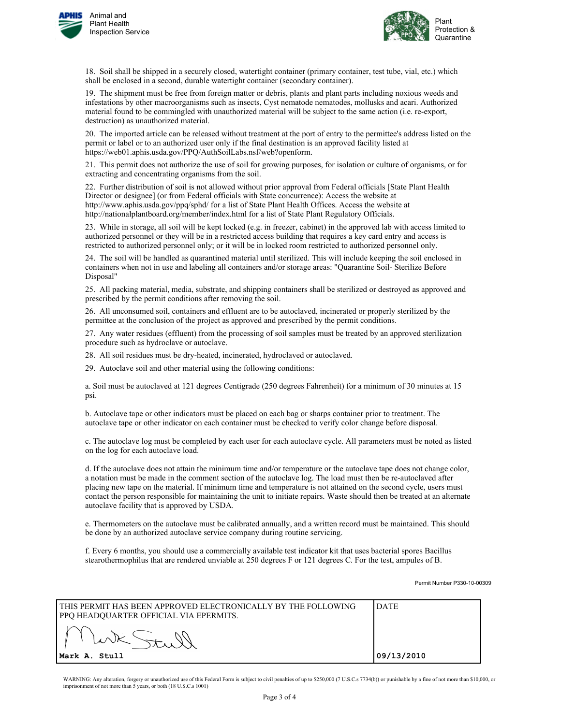



18. Soil shall be shipped in a securely closed, watertight container (primary container, test tube, vial, etc.) which shall be enclosed in a second, durable watertight container (secondary container).

19. The shipment must be free from foreign matter or debris, plants and plant parts including noxious weeds and infestations by other macroorganisms such as insects, Cyst nematode nematodes, mollusks and acari. Authorized material found to be commingled with unauthorized material will be subject to the same action (i.e. re-export, destruction) as unauthorized material.

20. The imported article can be released without treatment at the port of entry to the permittee's address listed on the permit or label or to an authorized user only if the final destination is an approved facility listed at https://web01.aphis.usda.gov/PPQ/AuthSoilLabs.nsf/web?openform.

21. This permit does not authorize the use of soil for growing purposes, for isolation or culture of organisms, or for extracting and concentrating organisms from the soil.

22. Further distribution of soil is not allowed without prior approval from Federal officials [State Plant Health Director or designee] (or from Federal officials with State concurrence): Access the website at http://www.aphis.usda.gov/ppq/sphd/ for a list of State Plant Health Offices. Access the website at http://nationalplantboard.org/member/index.html for a list of State Plant Regulatory Officials.

23. While in storage, all soil will be kept locked (e.g. in freezer, cabinet) in the approved lab with access limited to authorized personnel or they will be in a restricted access building that requires a key card entry and access is restricted to authorized personnel only; or it will be in locked room restricted to authorized personnel only.

24. The soil will be handled as quarantined material until sterilized. This will include keeping the soil enclosed in containers when not in use and labeling all containers and/or storage areas: "Quarantine Soil- Sterilize Before Disposal"

25. All packing material, media, substrate, and shipping containers shall be sterilized or destroyed as approved and prescribed by the permit conditions after removing the soil.

26. All unconsumed soil, containers and effluent are to be autoclaved, incinerated or properly sterilized by the permittee at the conclusion of the project as approved and prescribed by the permit conditions.

27. Any water residues (effluent) from the processing of soil samples must be treated by an approved sterilization procedure such as hydroclave or autoclave.

28. All soil residues must be dry-heated, incinerated, hydroclaved or autoclaved.

29. Autoclave soil and other material using the following conditions:

a. Soil must be autoclaved at 121 degrees Centigrade (250 degrees Fahrenheit) for a minimum of 30 minutes at 15 psi.

b. Autoclave tape or other indicators must be placed on each bag or sharps container prior to treatment. The autoclave tape or other indicator on each container must be checked to verify color change before disposal.

c. The autoclave log must be completed by each user for each autoclave cycle. All parameters must be noted as listed on the log for each autoclave load.

d. If the autoclave does not attain the minimum time and/or temperature or the autoclave tape does not change color, a notation must be made in the comment section of the autoclave log. The load must then be re-autoclaved after placing new tape on the material. If minimum time and temperature is not attained on the second cycle, users must contact the person responsible for maintaining the unit to initiate repairs. Waste should then be treated at an alternate autoclave facility that is approved by USDA.

e. Thermometers on the autoclave must be calibrated annually, and a written record must be maintained. This should be done by an authorized autoclave service company during routine servicing.

f. Every 6 months, you should use a commercially available test indicator kit that uses bacterial spores Bacillus stearothermophilus that are rendered unviable at 250 degrees F or 121 degrees C. For the test, ampules of B.

Permit Number P330-10-00309

| I THIS PERMIT HAS BEEN APPROVED ELECTRONICALLY BY THE FOLLOWING<br>PPQ HEADQUARTER OFFICIAL VIA EPERMITS. | I DATE     |
|-----------------------------------------------------------------------------------------------------------|------------|
|                                                                                                           |            |
| Mark A. Stull                                                                                             | 09/13/2010 |